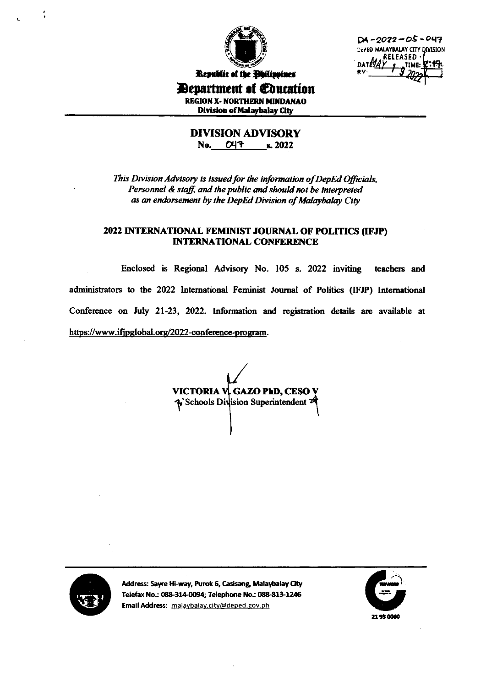

 $DA - 2022 - OS - 047$ DEPED MALAYBALAY CITY DIVISION **RELEASED**  $\sigma^{\text{TIME:}}$ **DATERA** 

Republic of the Philippines *Devartment of Education* 

**REGION X- NORTHERN MINDANAO** Division of Malaybalay City

**DIVISION ADVISORY** No. 047 s. 2022

This Division Advisory is issued for the information of DepEd Officials, Personnel & staff, and the public and should not be interpreted as an endorsement by the DepEd Division of Malaybalay City

## 2022 INTERNATIONAL FEMINIST JOURNAL OF POLITICS (IFJP) **INTERNATIONAL CONFERENCE**

Enclosed is Regional Advisory No. 105 s. 2022 inviting teachers and administrators to the 2022 International Feminist Journal of Politics (IFJP) International Conference on July 21-23, 2022. Information and registration details are available at https://www.ifjpglobal.org/2022-conference-program.

VICTORIA V, GAZO PhD, CESO V  $\phi$  Schools Division Superintendent  $\mathcal A$ 



Address: Sayre Hi-way, Purok 6, Casisang, Malaybalay City Telefax No.: 088-314-0094; Telephone No.: 088-813-1246 Email Address: malaybalay.city@deped.gov.ph

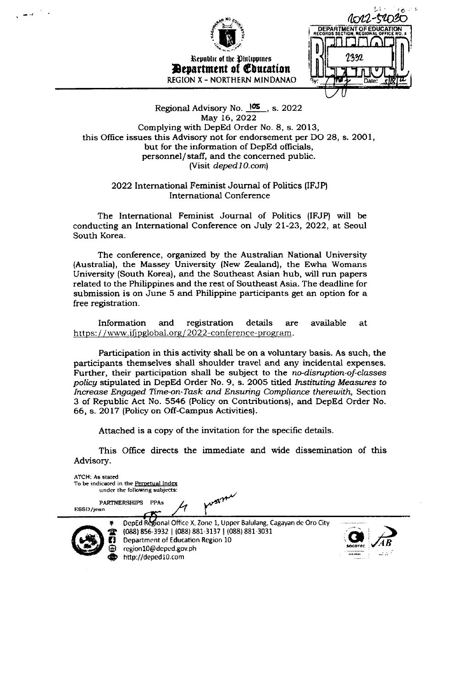

## Regional Advisory No.  $105$ , s. 2022 May 16, 2022 Complying with DepEd Order No. 8, s. 2013, this Office issues this Advisory not for endorsement per DO 28, s. 2001, but for the information of DepEd officials, personnel/staff, and the concerned public. (Visit deped  $10$ .com)

2022 International Feminist Journal of Politics (IFJP) **International Conference** 

The International Feminist Journal of Politics (IFJP) will be conducting an International Conference on July 21-23, 2022, at Seoul South Korea.

The conference, organized by the Australian National University (Australia), the Massey University (New Zealand), the Ewha Womans University (South Korea), and the Southeast Asian hub, will run papers related to the Philippines and the rest of Southeast Asia. The deadline for submission is on June 5 and Philippine participants get an option for a free registration.

Information and registration details are available at https://www.ifjpglobal.org/2022-conference-program.

Participation in this activity shall be on a voluntary basis. As such, the participants themselves shall shoulder travel and any incidental expenses. Further, their participation shall be subject to the no-disruption-of-classes policy stipulated in DepEd Order No. 9, s. 2005 titled Instituting Measures to Increase Engaged Time-on-Task and Ensuring Compliance therewith, Section 3 of Republic Act No. 5546 (Policy on Contributions), and DepEd Order No. 66, s. 2017 (Policy on Off-Campus Activities).

Attached is a copy of the invitation for the specific details.

This Office directs the immediate and wide dissemination of this Advisory.

| ATCH: As stated |         | To be indicated in the Perpetual Index<br>under the following subjects:                                                                                                                                      |             |
|-----------------|---------|--------------------------------------------------------------------------------------------------------------------------------------------------------------------------------------------------------------|-------------|
| ESSD/jean       |         | work<br><b>PARTNERSHIPS</b><br><b>PPAs</b>                                                                                                                                                                   |             |
|                 | s,<br>Γ | DepEd Regional Office X, Zone 1, Upper Balulang, Cagayan de Oro City<br>(088) 856-3932   (088) 881-3137   (088) 881-3031<br>Department of Education Region 10<br>region10@deped.gov.ph<br>http://deped10.com | SOCOTE<br>. |